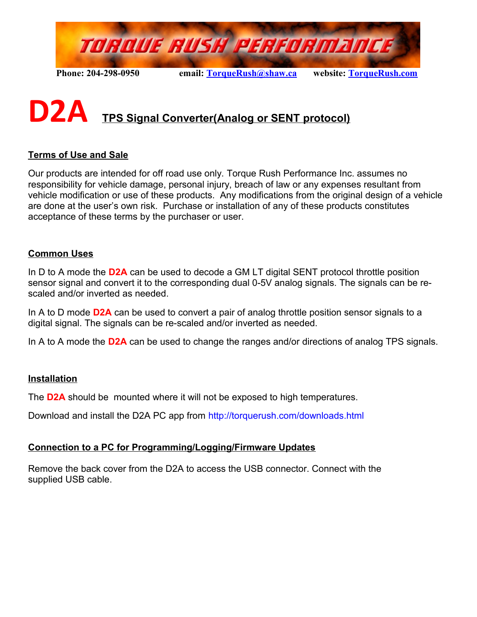

# **D2A TPS Signal Converter(Analog or SENT protocol)**

#### **Terms of Use and Sale**

Our products are intended for off road use only. Torque Rush Performance Inc. assumes no responsibility for vehicle damage, personal injury, breach of law or any expenses resultant from vehicle modification or use of these products. Any modifications from the original design of a vehicle are done at the user's own risk. Purchase or installation of any of these products constitutes acceptance of these terms by the purchaser or user.

#### **Common Uses**

In D to A mode the **D2A** can be used to decode a GM LT digital SENT protocol throttle position sensor signal and convert it to the corresponding dual 0-5V analog signals. The signals can be rescaled and/or inverted as needed.

In A to D mode **D2A** can be used to convert a pair of analog throttle position sensor signals to a digital signal. The signals can be re-scaled and/or inverted as needed.

In A to A mode the **D2A** can be used to change the ranges and/or directions of analog TPS signals.

#### **Installation**

The **D2A** should be mounted where it will not be exposed to high temperatures.

Download and install the D2A PC app from<http://torquerush.com/downloads.html>

#### **Connection to a PC for Programming/Logging/Firmware Updates**

Remove the back cover from the D2A to access the USB connector. Connect with the supplied USB cable.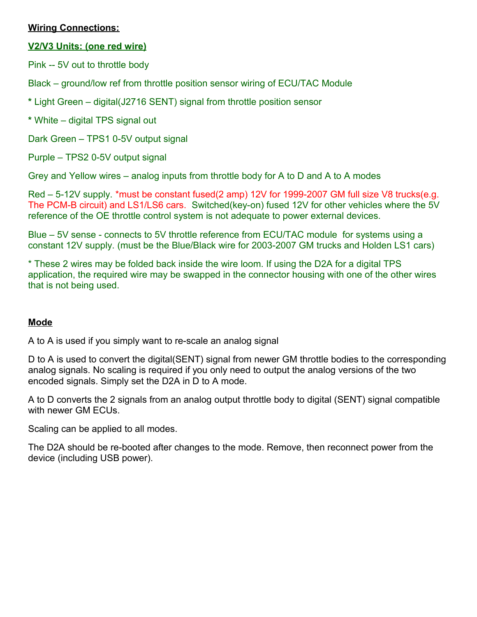#### **Wiring Connections:**

#### **V2/V3 Units: (one red wire)**

Pink -- 5V out to throttle body

Black – ground/low ref from throttle position sensor wiring of ECU/TAC Module

**\*** Light Green – digital(J2716 SENT) signal from throttle position sensor

**\*** White – digital TPS signal out

Dark Green – TPS1 0-5V output signal

Purple – TPS2 0-5V output signal

Grey and Yellow wires – analog inputs from throttle body for A to D and A to A modes

Red – 5-12V supply. \*must be constant fused(2 amp) 12V for 1999-2007 GM full size V8 trucks(e.g. The PCM-B circuit) and LS1/LS6 cars. Switched(key-on) fused 12V for other vehicles where the 5V reference of the OE throttle control system is not adequate to power external devices.

Blue – 5V sense - connects to 5V throttle reference from ECU/TAC module for systems using a constant 12V supply. (must be the Blue/Black wire for 2003-2007 GM trucks and Holden LS1 cars)

\* These 2 wires may be folded back inside the wire loom. If using the D2A for a digital TPS application, the required wire may be swapped in the connector housing with one of the other wires that is not being used.

#### **Mode**

A to A is used if you simply want to re-scale an analog signal

D to A is used to convert the digital(SENT) signal from newer GM throttle bodies to the corresponding analog signals. No scaling is required if you only need to output the analog versions of the two encoded signals. Simply set the D2A in D to A mode.

A to D converts the 2 signals from an analog output throttle body to digital (SENT) signal compatible with newer GM ECUs.

Scaling can be applied to all modes.

The D2A should be re-booted after changes to the mode. Remove, then reconnect power from the device (including USB power).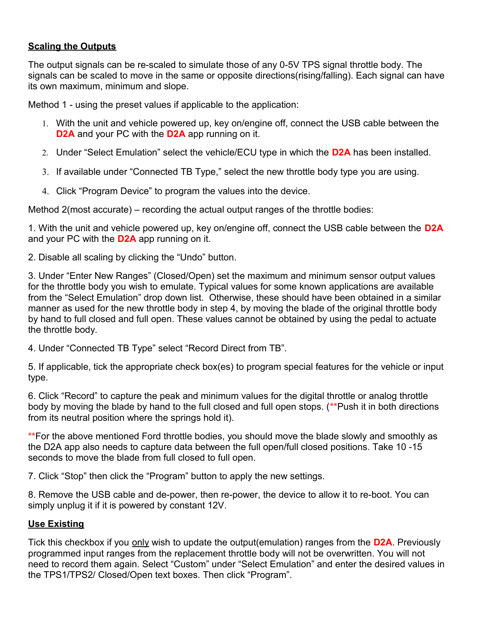#### **Scaling the Outputs**

The output signals can be re-scaled to simulate those of any 0-5V TPS signal throttle body. The signals can be scaled to move in the same or opposite directions(rising/falling). Each signal can have its own maximum, minimum and slope.

Method 1 - using the preset values if applicable to the application:

- 1. With the unit and vehicle powered up, key on/engine off, connect the USB cable between the **D2A** and your PC with the **D2A** app running on it.
- 2. Under "Select Emulation" select the vehicle/ECU type in which the **D2A** has been installed.
- 3. If available under "Connected TB Type," select the new throttle body type you are using.
- 4. Click "Program Device" to program the values into the device.

Method 2(most accurate) – recording the actual output ranges of the throttle bodies:

1. With the unit and vehicle powered up, key on/engine off, connect the USB cable between the **D2A**  and your PC with the **D2A** app running on it.

2. Disable all scaling by clicking the "Undo" button.

3. Under "Enter New Ranges" (Closed/Open) set the maximum and minimum sensor output values for the throttle body you wish to emulate. Typical values for some known applications are available from the "Select Emulation" drop down list. Otherwise, these should have been obtained in a similar manner as used for the new throttle body in step 4, by moving the blade of the original throttle body by hand to full closed and full open. These values cannot be obtained by using the pedal to actuate the throttle body.

4. Under "Connected TB Type" select "Record Direct from TB".

5. If applicable, tick the appropriate check box(es) to program special features for the vehicle or input type.

6. Click "Record" to capture the peak and minimum values for the digital throttle or analog throttle body by moving the blade by hand to the full closed and full open stops. (**\*\***Push it in both directions from its neutral position where the springs hold it).

**\*\***For the above mentioned Ford throttle bodies, you should move the blade slowly and smoothly as the D2A app also needs to capture data between the full open/full closed positions. Take 10 -15 seconds to move the blade from full closed to full open.

7. Click "Stop" then click the "Program" button to apply the new settings.

8. Remove the USB cable and de-power, then re-power, the device to allow it to re-boot. You can simply unplug it if it is powered by constant 12V.

#### **Use Existing**

Tick this checkbox if you only wish to update the output(emulation) ranges from the **D2A**. Previously programmed input ranges from the replacement throttle body will not be overwritten. You will not need to record them again. Select "Custom" under "Select Emulation" and enter the desired values in the TPS1/TPS2/ Closed/Open text boxes. Then click "Program".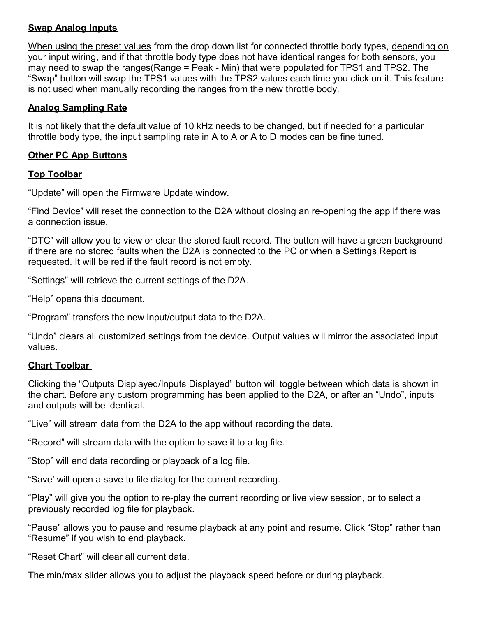#### **Swap Analog Inputs**

When using the preset values from the drop down list for connected throttle body types, depending on your input wiring, and if that throttle body type does not have identical ranges for both sensors, you may need to swap the ranges(Range = Peak - Min) that were populated for TPS1 and TPS2. The "Swap" button will swap the TPS1 values with the TPS2 values each time you click on it. This feature is not used when manually recording the ranges from the new throttle body.

#### **Analog Sampling Rate**

It is not likely that the default value of 10 kHz needs to be changed, but if needed for a particular throttle body type, the input sampling rate in A to A or A to D modes can be fine tuned.

#### **Other PC App Buttons**

#### **Top Toolbar**

"Update" will open the Firmware Update window.

"Find Device" will reset the connection to the D2A without closing an re-opening the app if there was a connection issue.

"DTC" will allow you to view or clear the stored fault record. The button will have a green background if there are no stored faults when the D2A is connected to the PC or when a Settings Report is requested. It will be red if the fault record is not empty.

"Settings" will retrieve the current settings of the D2A.

"Help" opens this document.

"Program" transfers the new input/output data to the D2A.

"Undo" clears all customized settings from the device. Output values will mirror the associated input values.

#### **Chart Toolbar**

Clicking the "Outputs Displayed/Inputs Displayed" button will toggle between which data is shown in the chart. Before any custom programming has been applied to the D2A, or after an "Undo", inputs and outputs will be identical.

"Live" will stream data from the D2A to the app without recording the data.

"Record" will stream data with the option to save it to a log file.

"Stop" will end data recording or playback of a log file.

"Save' will open a save to file dialog for the current recording.

"Play" will give you the option to re-play the current recording or live view session, or to select a previously recorded log file for playback.

"Pause" allows you to pause and resume playback at any point and resume. Click "Stop" rather than "Resume" if you wish to end playback.

"Reset Chart" will clear all current data.

The min/max slider allows you to adjust the playback speed before or during playback.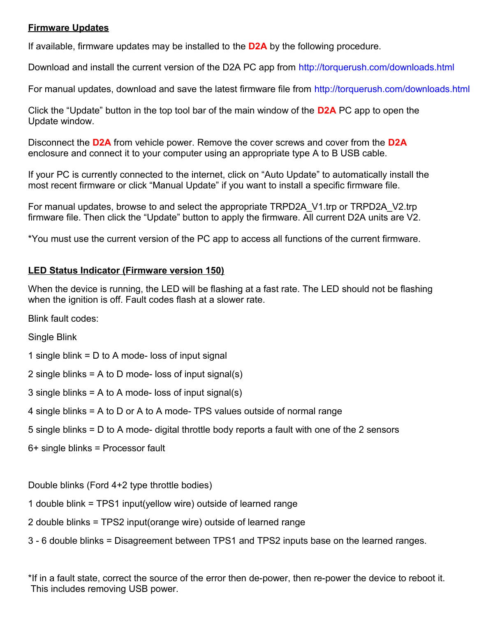#### **Firmware Updates**

If available, firmware updates may be installed to the **D2A** by the following procedure.

Download and install the current version of the D2A PC app from<http://torquerush.com/downloads.html>

For manual updates, download and save the latest firmware file from<http://torquerush.com/downloads.html>

Click the "Update" button in the top tool bar of the main window of the **D2A** PC app to open the Update window.

Disconnect the **D2A** from vehicle power. Remove the cover screws and cover from the **D2A** enclosure and connect it to your computer using an appropriate type A to B USB cable.

If your PC is currently connected to the internet, click on "Auto Update" to automatically install the most recent firmware or click "Manual Update" if you want to install a specific firmware file.

For manual updates, browse to and select the appropriate TRPD2A\_V1.trp or TRPD2A\_V2.trp firmware file. Then click the "Update" button to apply the firmware. All current D2A units are V2.

\*You must use the current version of the PC app to access all functions of the current firmware.

#### **LED Status Indicator (Firmware version 150)**

When the device is running, the LED will be flashing at a fast rate. The LED should not be flashing when the ignition is off. Fault codes flash at a slower rate.

Blink fault codes:

Single Blink

1 single blink = D to A mode- loss of input signal

2 single blinks = A to D mode- loss of input signal(s)

3 single blinks = A to A mode- loss of input signal(s)

4 single blinks = A to D or A to A mode- TPS values outside of normal range

5 single blinks = D to A mode- digital throttle body reports a fault with one of the 2 sensors

6+ single blinks = Processor fault

Double blinks (Ford 4+2 type throttle bodies)

1 double blink = TPS1 input(yellow wire) outside of learned range

2 double blinks = TPS2 input(orange wire) outside of learned range

3 - 6 double blinks = Disagreement between TPS1 and TPS2 inputs base on the learned ranges.

\*If in a fault state, correct the source of the error then de-power, then re-power the device to reboot it. This includes removing USB power.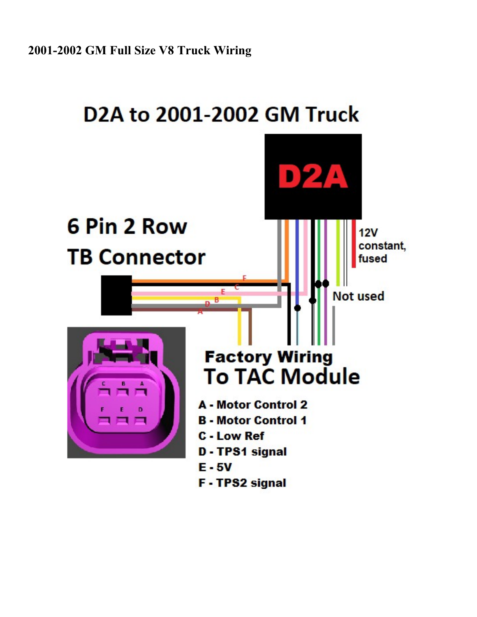## D2A to 2001-2002 GM Truck

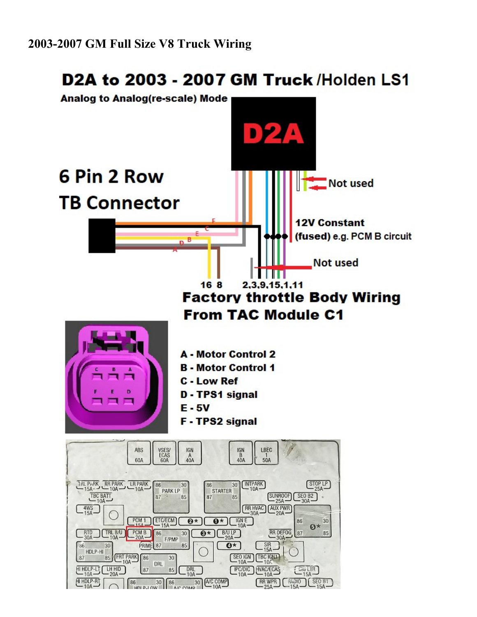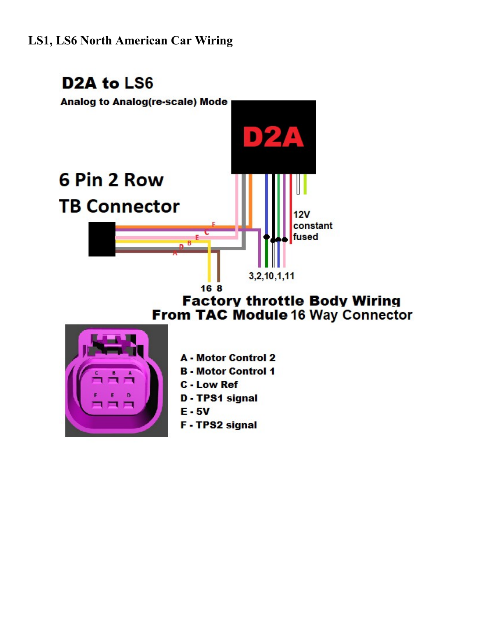